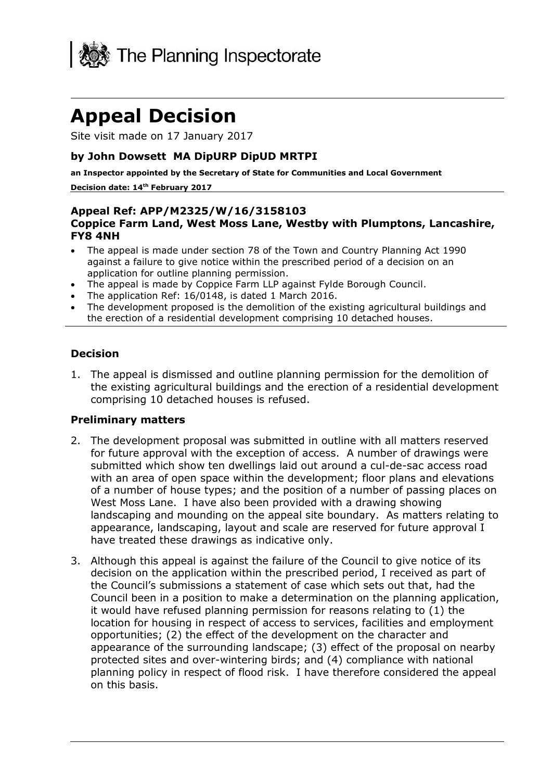

# **Appeal Decision**

Site visit made on 17 January 2017

### **by John Dowsett MA DipURP DipUD MRTPI**

**an Inspector appointed by the Secretary of State for Communities and Local Government**

#### **Decision date: 14th February 2017**

#### **Appeal Ref: APP/M2325/W/16/3158103 Coppice Farm Land, West Moss Lane, Westby with Plumptons, Lancashire, FY8 4NH**

- The appeal is made under section 78 of the Town and Country Planning Act 1990 against a failure to give notice within the prescribed period of a decision on an application for outline planning permission.
- The appeal is made by Coppice Farm LLP against Fylde Borough Council.
- The application Ref: 16/0148, is dated 1 March 2016.
- The development proposed is the demolition of the existing agricultural buildings and the erection of a residential development comprising 10 detached houses.

#### **Decision**

1. The appeal is dismissed and outline planning permission for the demolition of the existing agricultural buildings and the erection of a residential development comprising 10 detached houses is refused.

#### **Preliminary matters**

- 2. The development proposal was submitted in outline with all matters reserved for future approval with the exception of access. A number of drawings were submitted which show ten dwellings laid out around a cul-de-sac access road with an area of open space within the development; floor plans and elevations of a number of house types; and the position of a number of passing places on West Moss Lane. I have also been provided with a drawing showing landscaping and mounding on the appeal site boundary. As matters relating to appearance, landscaping, layout and scale are reserved for future approval I have treated these drawings as indicative only.
- 3. Although this appeal is against the failure of the Council to give notice of its decision on the application within the prescribed period, I received as part of the Council's submissions a statement of case which sets out that, had the Council been in a position to make a determination on the planning application, it would have refused planning permission for reasons relating to (1) the location for housing in respect of access to services, facilities and employment opportunities; (2) the effect of the development on the character and appearance of the surrounding landscape; (3) effect of the proposal on nearby protected sites and over-wintering birds; and (4) compliance with national planning policy in respect of flood risk. I have therefore considered the appeal on this basis.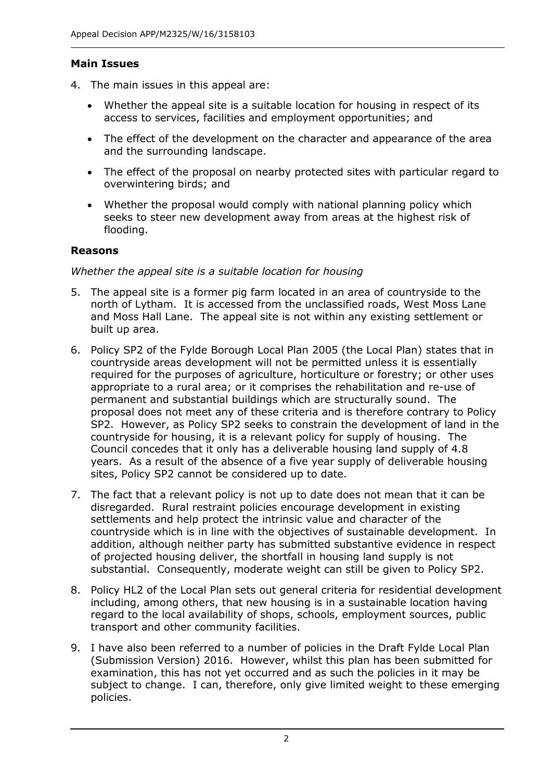### **Main Issues**

- 4. The main issues in this appeal are:
	- Whether the appeal site is a suitable location for housing in respect of its access to services, facilities and employment opportunities; and
	- The effect of the development on the character and appearance of the area and the surrounding landscape.
	- The effect of the proposal on nearby protected sites with particular regard to overwintering birds; and
	- Whether the proposal would comply with national planning policy which seeks to steer new development away from areas at the highest risk of flooding.

#### **Reasons**

#### *Whether the appeal site is a suitable location for housing*

- 5. The appeal site is a former pig farm located in an area of countryside to the north of Lytham. It is accessed from the unclassified roads, West Moss Lane and Moss Hall Lane. The appeal site is not within any existing settlement or built up area.
- 6. Policy SP2 of the Fylde Borough Local Plan 2005 (the Local Plan) states that in countryside areas development will not be permitted unless it is essentially required for the purposes of agriculture, horticulture or forestry; or other uses appropriate to a rural area; or it comprises the rehabilitation and re-use of permanent and substantial buildings which are structurally sound. The proposal does not meet any of these criteria and is therefore contrary to Policy SP2. However, as Policy SP2 seeks to constrain the development of land in the countryside for housing, it is a relevant policy for supply of housing. The Council concedes that it only has a deliverable housing land supply of 4.8 years. As a result of the absence of a five year supply of deliverable housing sites, Policy SP2 cannot be considered up to date.
- 7. The fact that a relevant policy is not up to date does not mean that it can be disregarded. Rural restraint policies encourage development in existing settlements and help protect the intrinsic value and character of the countryside which is in line with the objectives of sustainable development. In addition, although neither party has submitted substantive evidence in respect of projected housing deliver, the shortfall in housing land supply is not substantial. Consequently, moderate weight can still be given to Policy SP2.
- 8. Policy HL2 of the Local Plan sets out general criteria for residential development including, among others, that new housing is in a sustainable location having regard to the local availability of shops, schools, employment sources, public transport and other community facilities.
- 9. I have also been referred to a number of policies in the Draft Fylde Local Plan (Submission Version) 2016. However, whilst this plan has been submitted for examination, this has not yet occurred and as such the policies in it may be subject to change. I can, therefore, only give limited weight to these emerging policies.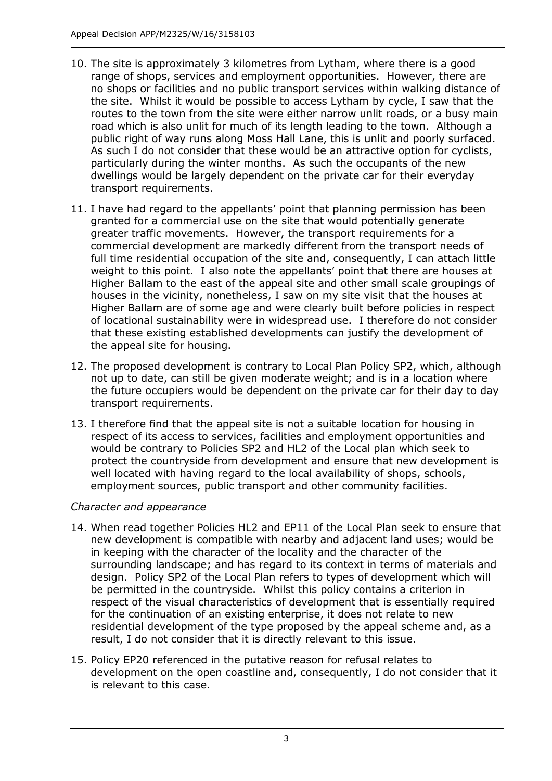- 10. The site is approximately 3 kilometres from Lytham, where there is a good range of shops, services and employment opportunities. However, there are no shops or facilities and no public transport services within walking distance of the site. Whilst it would be possible to access Lytham by cycle, I saw that the routes to the town from the site were either narrow unlit roads, or a busy main road which is also unlit for much of its length leading to the town. Although a public right of way runs along Moss Hall Lane, this is unlit and poorly surfaced. As such I do not consider that these would be an attractive option for cyclists, particularly during the winter months. As such the occupants of the new dwellings would be largely dependent on the private car for their everyday transport requirements.
- 11. I have had regard to the appellants' point that planning permission has been granted for a commercial use on the site that would potentially generate greater traffic movements. However, the transport requirements for a commercial development are markedly different from the transport needs of full time residential occupation of the site and, consequently, I can attach little weight to this point. I also note the appellants' point that there are houses at Higher Ballam to the east of the appeal site and other small scale groupings of houses in the vicinity, nonetheless, I saw on my site visit that the houses at Higher Ballam are of some age and were clearly built before policies in respect of locational sustainability were in widespread use. I therefore do not consider that these existing established developments can justify the development of the appeal site for housing.
- 12. The proposed development is contrary to Local Plan Policy SP2, which, although not up to date, can still be given moderate weight; and is in a location where the future occupiers would be dependent on the private car for their day to day transport requirements.
- 13. I therefore find that the appeal site is not a suitable location for housing in respect of its access to services, facilities and employment opportunities and would be contrary to Policies SP2 and HL2 of the Local plan which seek to protect the countryside from development and ensure that new development is well located with having regard to the local availability of shops, schools, employment sources, public transport and other community facilities.

## *Character and appearance*

- 14. When read together Policies HL2 and EP11 of the Local Plan seek to ensure that new development is compatible with nearby and adjacent land uses; would be in keeping with the character of the locality and the character of the surrounding landscape; and has regard to its context in terms of materials and design. Policy SP2 of the Local Plan refers to types of development which will be permitted in the countryside. Whilst this policy contains a criterion in respect of the visual characteristics of development that is essentially required for the continuation of an existing enterprise, it does not relate to new residential development of the type proposed by the appeal scheme and, as a result, I do not consider that it is directly relevant to this issue.
- 15. Policy EP20 referenced in the putative reason for refusal relates to development on the open coastline and, consequently, I do not consider that it is relevant to this case.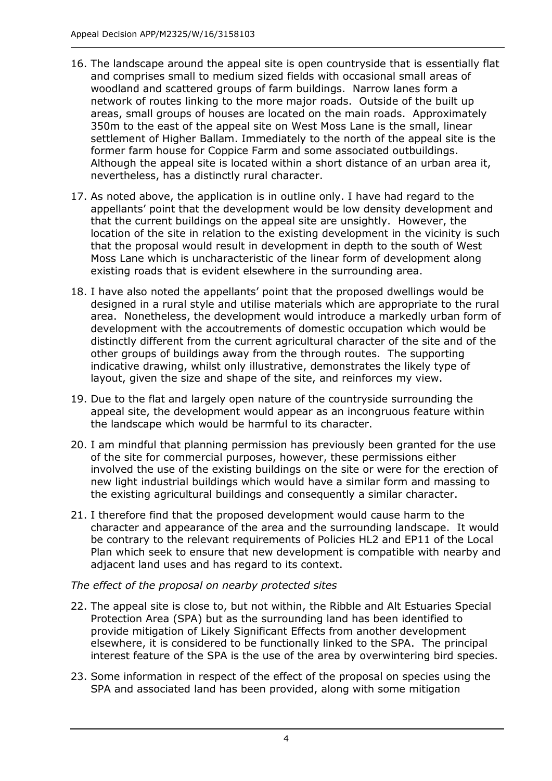- 16. The landscape around the appeal site is open countryside that is essentially flat and comprises small to medium sized fields with occasional small areas of woodland and scattered groups of farm buildings. Narrow lanes form a network of routes linking to the more major roads. Outside of the built up areas, small groups of houses are located on the main roads. Approximately 350m to the east of the appeal site on West Moss Lane is the small, linear settlement of Higher Ballam. Immediately to the north of the appeal site is the former farm house for Coppice Farm and some associated outbuildings. Although the appeal site is located within a short distance of an urban area it, nevertheless, has a distinctly rural character.
- 17. As noted above, the application is in outline only. I have had regard to the appellants' point that the development would be low density development and that the current buildings on the appeal site are unsightly. However, the location of the site in relation to the existing development in the vicinity is such that the proposal would result in development in depth to the south of West Moss Lane which is uncharacteristic of the linear form of development along existing roads that is evident elsewhere in the surrounding area.
- 18. I have also noted the appellants' point that the proposed dwellings would be designed in a rural style and utilise materials which are appropriate to the rural area. Nonetheless, the development would introduce a markedly urban form of development with the accoutrements of domestic occupation which would be distinctly different from the current agricultural character of the site and of the other groups of buildings away from the through routes. The supporting indicative drawing, whilst only illustrative, demonstrates the likely type of layout, given the size and shape of the site, and reinforces my view.
- 19. Due to the flat and largely open nature of the countryside surrounding the appeal site, the development would appear as an incongruous feature within the landscape which would be harmful to its character.
- 20. I am mindful that planning permission has previously been granted for the use of the site for commercial purposes, however, these permissions either involved the use of the existing buildings on the site or were for the erection of new light industrial buildings which would have a similar form and massing to the existing agricultural buildings and consequently a similar character.
- 21. I therefore find that the proposed development would cause harm to the character and appearance of the area and the surrounding landscape. It would be contrary to the relevant requirements of Policies HL2 and EP11 of the Local Plan which seek to ensure that new development is compatible with nearby and adjacent land uses and has regard to its context.

## *The effect of the proposal on nearby protected sites*

- 22. The appeal site is close to, but not within, the Ribble and Alt Estuaries Special Protection Area (SPA) but as the surrounding land has been identified to provide mitigation of Likely Significant Effects from another development elsewhere, it is considered to be functionally linked to the SPA. The principal interest feature of the SPA is the use of the area by overwintering bird species.
- 23. Some information in respect of the effect of the proposal on species using the SPA and associated land has been provided, along with some mitigation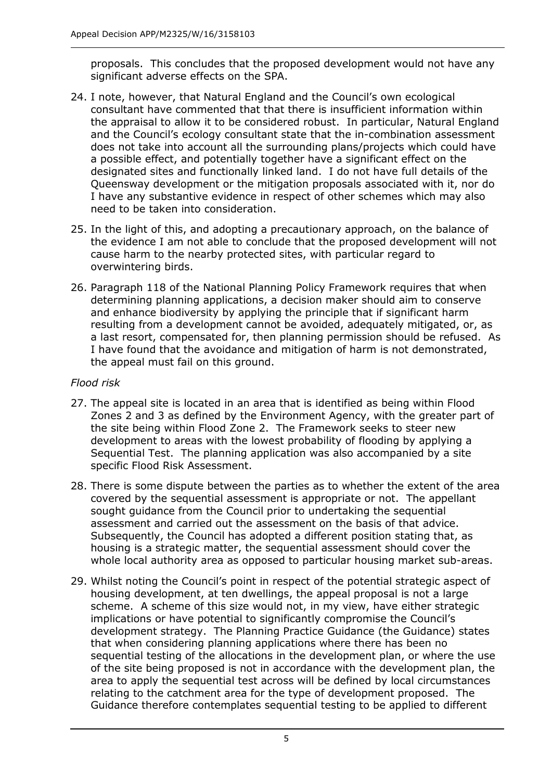proposals. This concludes that the proposed development would not have any significant adverse effects on the SPA.

- 24. I note, however, that Natural England and the Council's own ecological consultant have commented that that there is insufficient information within the appraisal to allow it to be considered robust. In particular, Natural England and the Council's ecology consultant state that the in-combination assessment does not take into account all the surrounding plans/projects which could have a possible effect, and potentially together have a significant effect on the designated sites and functionally linked land. I do not have full details of the Queensway development or the mitigation proposals associated with it, nor do I have any substantive evidence in respect of other schemes which may also need to be taken into consideration.
- 25. In the light of this, and adopting a precautionary approach, on the balance of the evidence I am not able to conclude that the proposed development will not cause harm to the nearby protected sites, with particular regard to overwintering birds.
- 26. Paragraph 118 of the National Planning Policy Framework requires that when determining planning applications, a decision maker should aim to conserve and enhance biodiversity by applying the principle that if significant harm resulting from a development cannot be avoided, adequately mitigated, or, as a last resort, compensated for, then planning permission should be refused. As I have found that the avoidance and mitigation of harm is not demonstrated, the appeal must fail on this ground.

#### *Flood risk*

- 27. The appeal site is located in an area that is identified as being within Flood Zones 2 and 3 as defined by the Environment Agency, with the greater part of the site being within Flood Zone 2. The Framework seeks to steer new development to areas with the lowest probability of flooding by applying a Sequential Test. The planning application was also accompanied by a site specific Flood Risk Assessment.
- 28. There is some dispute between the parties as to whether the extent of the area covered by the sequential assessment is appropriate or not. The appellant sought guidance from the Council prior to undertaking the sequential assessment and carried out the assessment on the basis of that advice. Subsequently, the Council has adopted a different position stating that, as housing is a strategic matter, the sequential assessment should cover the whole local authority area as opposed to particular housing market sub-areas.
- 29. Whilst noting the Council's point in respect of the potential strategic aspect of housing development, at ten dwellings, the appeal proposal is not a large scheme. A scheme of this size would not, in my view, have either strategic implications or have potential to significantly compromise the Council's development strategy. The Planning Practice Guidance (the Guidance) states that when considering planning applications where there has been no sequential testing of the allocations in the development plan, or where the use of the site being proposed is not in accordance with the development plan, the area to apply the sequential test across will be defined by local circumstances relating to the catchment area for the type of development proposed. The Guidance therefore contemplates sequential testing to be applied to different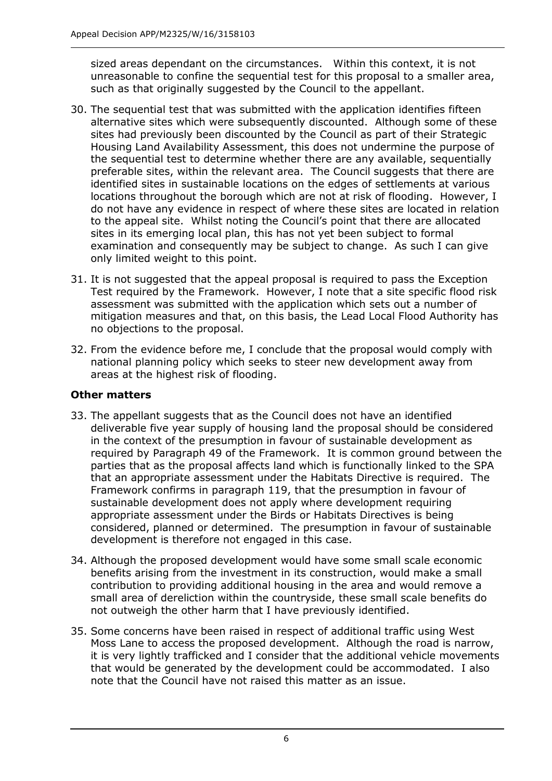sized areas dependant on the circumstances. Within this context, it is not unreasonable to confine the sequential test for this proposal to a smaller area, such as that originally suggested by the Council to the appellant.

- 30. The sequential test that was submitted with the application identifies fifteen alternative sites which were subsequently discounted. Although some of these sites had previously been discounted by the Council as part of their Strategic Housing Land Availability Assessment, this does not undermine the purpose of the sequential test to determine whether there are any available, sequentially preferable sites, within the relevant area. The Council suggests that there are identified sites in sustainable locations on the edges of settlements at various locations throughout the borough which are not at risk of flooding. However, I do not have any evidence in respect of where these sites are located in relation to the appeal site. Whilst noting the Council's point that there are allocated sites in its emerging local plan, this has not yet been subject to formal examination and consequently may be subject to change. As such I can give only limited weight to this point.
- 31. It is not suggested that the appeal proposal is required to pass the Exception Test required by the Framework. However, I note that a site specific flood risk assessment was submitted with the application which sets out a number of mitigation measures and that, on this basis, the Lead Local Flood Authority has no objections to the proposal.
- 32. From the evidence before me, I conclude that the proposal would comply with national planning policy which seeks to steer new development away from areas at the highest risk of flooding.

## **Other matters**

- 33. The appellant suggests that as the Council does not have an identified deliverable five year supply of housing land the proposal should be considered in the context of the presumption in favour of sustainable development as required by Paragraph 49 of the Framework. It is common ground between the parties that as the proposal affects land which is functionally linked to the SPA that an appropriate assessment under the Habitats Directive is required. The Framework confirms in paragraph 119, that the presumption in favour of sustainable development does not apply where development requiring appropriate assessment under the Birds or Habitats Directives is being considered, planned or determined. The presumption in favour of sustainable development is therefore not engaged in this case.
- 34. Although the proposed development would have some small scale economic benefits arising from the investment in its construction, would make a small contribution to providing additional housing in the area and would remove a small area of dereliction within the countryside, these small scale benefits do not outweigh the other harm that I have previously identified.
- 35. Some concerns have been raised in respect of additional traffic using West Moss Lane to access the proposed development. Although the road is narrow, it is very lightly trafficked and I consider that the additional vehicle movements that would be generated by the development could be accommodated. I also note that the Council have not raised this matter as an issue.